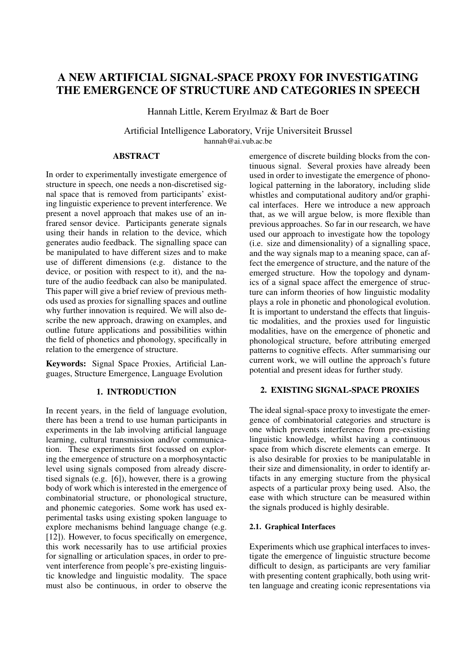# A NEW ARTIFICIAL SIGNAL-SPACE PROXY FOR INVESTIGATING THE EMERGENCE OF STRUCTURE AND CATEGORIES IN SPEECH

Hannah Little, Kerem Eryılmaz & Bart de Boer

Artificial Intelligence Laboratory, Vrije Universiteit Brussel hannah@ai.vub.ac.be

# ABSTRACT

In order to experimentally investigate emergence of structure in speech, one needs a non-discretised signal space that is removed from participants' existing linguistic experience to prevent interference. We present a novel approach that makes use of an infrared sensor device. Participants generate signals using their hands in relation to the device, which generates audio feedback. The signalling space can be manipulated to have different sizes and to make use of different dimensions (e.g. distance to the device, or position with respect to it), and the nature of the audio feedback can also be manipulated. This paper will give a brief review of previous methods used as proxies for signalling spaces and outline why further innovation is required. We will also describe the new approach, drawing on examples, and outline future applications and possibilities within the field of phonetics and phonology, specifically in relation to the emergence of structure.

Keywords: Signal Space Proxies, Artificial Languages, Structure Emergence, Language Evolution

# 1. INTRODUCTION

In recent years, in the field of language evolution, there has been a trend to use human participants in experiments in the lab involving artificial language learning, cultural transmission and/or communication. These experiments first focussed on exploring the emergence of structure on a morphosyntactic level using signals composed from already discretised signals (e.g. [6]), however, there is a growing body of work which is interested in the emergence of combinatorial structure, or phonological structure, and phonemic categories. Some work has used experimental tasks using existing spoken language to explore mechanisms behind language change (e.g. [12]). However, to focus specifically on emergence, this work necessarily has to use artificial proxies for signalling or articulation spaces, in order to prevent interference from people's pre-existing linguistic knowledge and linguistic modality. The space must also be continuous, in order to observe the emergence of discrete building blocks from the continuous signal. Several proxies have already been used in order to investigate the emergence of phonological patterning in the laboratory, including slide whistles and computational auditory and/or graphical interfaces. Here we introduce a new approach that, as we will argue below, is more flexible than previous approaches. So far in our research, we have used our approach to investigate how the topology (i.e. size and dimensionality) of a signalling space, and the way signals map to a meaning space, can affect the emergence of structure, and the nature of the emerged structure. How the topology and dynamics of a signal space affect the emergence of structure can inform theories of how linguistic modality plays a role in phonetic and phonological evolution. It is important to understand the effects that linguistic modalities, and the proxies used for linguistic modalities, have on the emergence of phonetic and phonological structure, before attributing emerged patterns to cognitive effects. After summarising our current work, we will outline the approach's future potential and present ideas for further study.

# 2. EXISTING SIGNAL-SPACE PROXIES

The ideal signal-space proxy to investigate the emergence of combinatorial categories and structure is one which prevents interference from pre-existing linguistic knowledge, whilst having a continuous space from which discrete elements can emerge. It is also desirable for proxies to be manipulatable in their size and dimensionality, in order to identify artifacts in any emerging stucture from the physical aspects of a particular proxy being used. Also, the ease with which structure can be measured within the signals produced is highly desirable.

# 2.1. Graphical Interfaces

Experiments which use graphical interfaces to investigate the emergence of linguistic structure become difficult to design, as participants are very familiar with presenting content graphically, both using written language and creating iconic representations via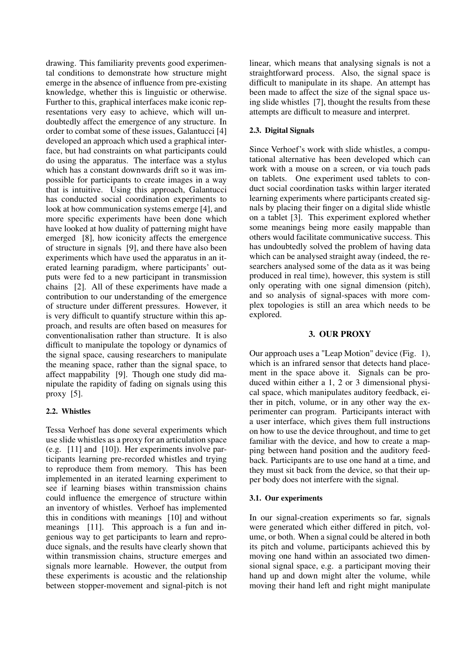drawing. This familiarity prevents good experimental conditions to demonstrate how structure might emerge in the absence of influence from pre-existing knowledge, whether this is linguistic or otherwise. Further to this, graphical interfaces make iconic representations very easy to achieve, which will undoubtedly affect the emergence of any structure. In order to combat some of these issues, Galantucci [4] developed an approach which used a graphical interface, but had constraints on what participants could do using the apparatus. The interface was a stylus which has a constant downwards drift so it was impossible for participants to create images in a way that is intuitive. Using this approach, Galantucci has conducted social coordination experiments to look at how communication systems emerge [4], and more specific experiments have been done which have looked at how duality of patterning might have emerged [8], how iconicity affects the emergence of structure in signals [9], and there have also been experiments which have used the apparatus in an iterated learning paradigm, where participants' outputs were fed to a new participant in transmission chains [2]. All of these experiments have made a contribution to our understanding of the emergence of structure under different pressures. However, it is very difficult to quantify structure within this approach, and results are often based on measures for conventionalisation rather than structure. It is also difficult to manipulate the topology or dynamics of the signal space, causing researchers to manipulate the meaning space, rather than the signal space, to affect mappability [9]. Though one study did manipulate the rapidity of fading on signals using this proxy [5].

#### 2.2. Whistles

Tessa Verhoef has done several experiments which use slide whistles as a proxy for an articulation space (e.g. [11] and [10]). Her experiments involve participants learning pre-recorded whistles and trying to reproduce them from memory. This has been implemented in an iterated learning experiment to see if learning biases within transmission chains could influence the emergence of structure within an inventory of whistles. Verhoef has implemented this in conditions with meanings [10] and without meanings [11]. This approach is a fun and ingenious way to get participants to learn and reproduce signals, and the results have clearly shown that within transmission chains, structure emerges and signals more learnable. However, the output from these experiments is acoustic and the relationship between stopper-movement and signal-pitch is not

linear, which means that analysing signals is not a straightforward process. Also, the signal space is difficult to manipulate in its shape. An attempt has been made to affect the size of the signal space using slide whistles [7], thought the results from these attempts are difficult to measure and interpret.

### 2.3. Digital Signals

Since Verhoef's work with slide whistles, a computational alternative has been developed which can work with a mouse on a screen, or via touch pads on tablets. One experiment used tablets to conduct social coordination tasks within larger iterated learning experiments where participants created signals by placing their finger on a digital slide whistle on a tablet [3]. This experiment explored whether some meanings being more easily mappable than others would facilitate communicative success. This has undoubtedly solved the problem of having data which can be analysed straight away (indeed, the researchers analysed some of the data as it was being produced in real time), however, this system is still only operating with one signal dimension (pitch), and so analysis of signal-spaces with more complex topologies is still an area which needs to be explored.

### 3. OUR PROXY

Our approach uses a "Leap Motion" device (Fig. 1), which is an infrared sensor that detects hand placement in the space above it. Signals can be produced within either a 1, 2 or 3 dimensional physical space, which manipulates auditory feedback, either in pitch, volume, or in any other way the experimenter can program. Participants interact with a user interface, which gives them full instructions on how to use the device throughout, and time to get familiar with the device, and how to create a mapping between hand position and the auditory feedback. Participants are to use one hand at a time, and they must sit back from the device, so that their upper body does not interfere with the signal.

#### 3.1. Our experiments

In our signal-creation experiments so far, signals were generated which either differed in pitch, volume, or both. When a signal could be altered in both its pitch and volume, participants achieved this by moving one hand within an associated two dimensional signal space, e.g. a participant moving their hand up and down might alter the volume, while moving their hand left and right might manipulate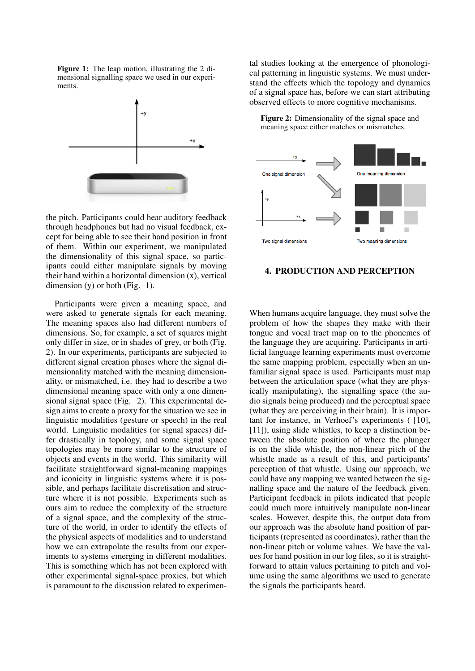Figure 1: The leap motion, illustrating the 2 dimensional signalling space we used in our experiments.



the pitch. Participants could hear auditory feedback through headphones but had no visual feedback, except for being able to see their hand position in front of them. Within our experiment, we manipulated the dimensionality of this signal space, so participants could either manipulate signals by moving their hand within a horizontal dimension (x), vertical dimension  $(y)$  or both (Fig. 1).

Participants were given a meaning space, and were asked to generate signals for each meaning. The meaning spaces also had different numbers of dimensions. So, for example, a set of squares might only differ in size, or in shades of grey, or both (Fig. 2). In our experiments, participants are subjected to different signal creation phases where the signal dimensionality matched with the meaning dimensionality, or mismatched, i.e. they had to describe a two dimensional meaning space with only a one dimensional signal space (Fig. 2). This experimental design aims to create a proxy for the situation we see in linguistic modalities (gesture or speech) in the real world. Linguistic modalities (or signal spaces) differ drastically in topology, and some signal space topologies may be more similar to the structure of objects and events in the world. This similarity will facilitate straightforward signal-meaning mappings and iconicity in linguistic systems where it is possible, and perhaps facilitate discretisation and structure where it is not possible. Experiments such as ours aim to reduce the complexity of the structure of a signal space, and the complexity of the structure of the world, in order to identify the effects of the physical aspects of modalities and to understand how we can extrapolate the results from our experiments to systems emerging in different modalities. This is something which has not been explored with other experimental signal-space proxies, but which is paramount to the discussion related to experimental studies looking at the emergence of phonological patterning in linguistic systems. We must understand the effects which the topology and dynamics of a signal space has, before we can start attributing observed effects to more cognitive mechanisms.

Figure 2: Dimensionality of the signal space and meaning space either matches or mismatches.



#### 4. PRODUCTION AND PERCEPTION

When humans acquire language, they must solve the problem of how the shapes they make with their tongue and vocal tract map on to the phonemes of the language they are acquiring. Participants in artificial language learning experiments must overcome the same mapping problem, especially when an unfamiliar signal space is used. Participants must map between the articulation space (what they are physically manipulating), the signalling space (the audio signals being produced) and the perceptual space (what they are perceiving in their brain). It is important for instance, in Verhoef's experiments ( [10], [11]), using slide whistles, to keep a distinction between the absolute position of where the plunger is on the slide whistle, the non-linear pitch of the whistle made as a result of this, and participants' perception of that whistle. Using our approach, we could have any mapping we wanted between the signalling space and the nature of the feedback given. Participant feedback in pilots indicated that people could much more intuitively manipulate non-linear scales. However, despite this, the output data from our approach was the absolute hand position of participants (represented as coordinates), rather than the non-linear pitch or volume values. We have the values for hand position in our log files, so it is straightforward to attain values pertaining to pitch and volume using the same algorithms we used to generate the signals the participants heard.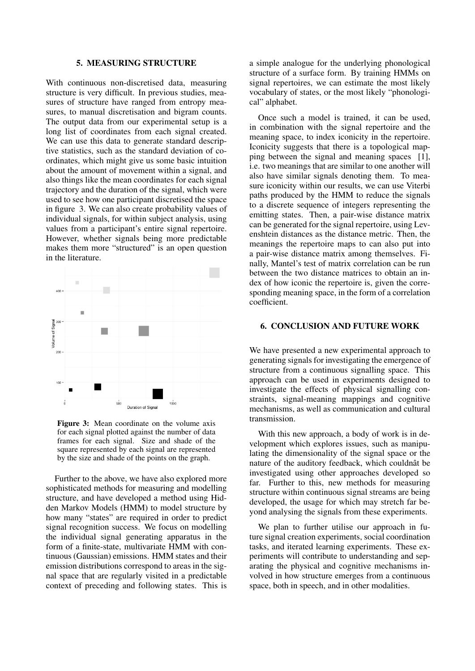#### 5. MEASURING STRUCTURE

With continuous non-discretised data, measuring structure is very difficult. In previous studies, measures of structure have ranged from entropy measures, to manual discretisation and bigram counts. The output data from our experimental setup is a long list of coordinates from each signal created. We can use this data to generate standard descriptive statistics, such as the standard deviation of coordinates, which might give us some basic intuition about the amount of movement within a signal, and also things like the mean coordinates for each signal trajectory and the duration of the signal, which were used to see how one participant discretised the space in figure 3. We can also create probability values of individual signals, for within subject analysis, using values from a participant's entire signal repertoire. However, whether signals being more predictable makes them more "structured" is an open question in the literature.



Figure 3: Mean coordinate on the volume axis for each signal plotted against the number of data frames for each signal. Size and shade of the square represented by each signal are represented by the size and shade of the points on the graph.

Further to the above, we have also explored more sophisticated methods for measuring and modelling structure, and have developed a method using Hidden Markov Models (HMM) to model structure by how many "states" are required in order to predict signal recognition success. We focus on modelling the individual signal generating apparatus in the form of a finite-state, multivariate HMM with continuous (Gaussian) emissions. HMM states and their emission distributions correspond to areas in the signal space that are regularly visited in a predictable context of preceding and following states. This is

a simple analogue for the underlying phonological structure of a surface form. By training HMMs on signal repertoires, we can estimate the most likely vocabulary of states, or the most likely "phonological" alphabet.

Once such a model is trained, it can be used, in combination with the signal repertoire and the meaning space, to index iconicity in the repertoire. Iconicity suggests that there is a topological mapping between the signal and meaning spaces [1], i.e. two meanings that are similar to one another will also have similar signals denoting them. To measure iconicity within our results, we can use Viterbi paths produced by the HMM to reduce the signals to a discrete sequence of integers representing the emitting states. Then, a pair-wise distance matrix can be generated for the signal repertoire, using Levenshtein distances as the distance metric. Then, the meanings the repertoire maps to can also put into a pair-wise distance matrix among themselves. Finally, Mantel's test of matrix correlation can be run between the two distance matrices to obtain an index of how iconic the repertoire is, given the corresponding meaning space, in the form of a correlation coefficient.

#### 6. CONCLUSION AND FUTURE WORK

We have presented a new experimental approach to generating signals for investigating the emergence of structure from a continuous signalling space. This approach can be used in experiments designed to investigate the effects of physical signalling constraints, signal-meaning mappings and cognitive mechanisms, as well as communication and cultural transmission.

With this new approach, a body of work is in development which explores issues, such as manipulating the dimensionality of the signal space or the nature of the auditory feedback, which couldnât be investigated using other approaches developed so far. Further to this, new methods for measuring structure within continuous signal streams are being developed, the usage for which may stretch far beyond analysing the signals from these experiments.

We plan to further utilise our approach in future signal creation experiments, social coordination tasks, and iterated learning experiments. These experiments will contribute to understanding and separating the physical and cognitive mechanisms involved in how structure emerges from a continuous space, both in speech, and in other modalities.